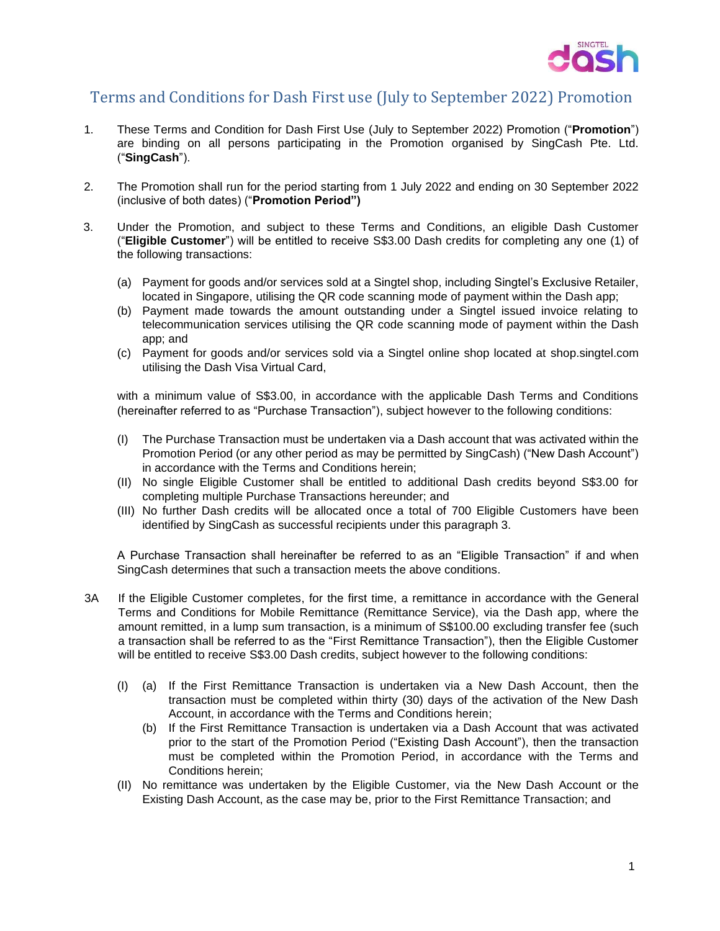

## Terms and Conditions for Dash First use (July to September 2022) Promotion

- 1. These Terms and Condition for Dash First Use (July to September 2022) Promotion ("**Promotion**") are binding on all persons participating in the Promotion organised by SingCash Pte. Ltd. ("**SingCash**").
- 2. The Promotion shall run for the period starting from 1 July 2022 and ending on 30 September 2022 (inclusive of both dates) ("**Promotion Period")**
- 3. Under the Promotion, and subject to these Terms and Conditions, an eligible Dash Customer ("**Eligible Customer**") will be entitled to receive S\$3.00 Dash credits for completing any one (1) of the following transactions:
	- (a) Payment for goods and/or services sold at a Singtel shop, including Singtel's Exclusive Retailer, located in Singapore, utilising the QR code scanning mode of payment within the Dash app;
	- (b) Payment made towards the amount outstanding under a Singtel issued invoice relating to telecommunication services utilising the QR code scanning mode of payment within the Dash app; and
	- (c) Payment for goods and/or services sold via a Singtel online shop located at shop.singtel.com utilising the Dash Visa Virtual Card,

with a minimum value of S\$3.00, in accordance with the applicable Dash Terms and Conditions (hereinafter referred to as "Purchase Transaction"), subject however to the following conditions:

- (I) The Purchase Transaction must be undertaken via a Dash account that was activated within the Promotion Period (or any other period as may be permitted by SingCash) ("New Dash Account") in accordance with the Terms and Conditions herein;
- (II) No single Eligible Customer shall be entitled to additional Dash credits beyond S\$3.00 for completing multiple Purchase Transactions hereunder; and
- (III) No further Dash credits will be allocated once a total of 700 Eligible Customers have been identified by SingCash as successful recipients under this paragraph 3.

A Purchase Transaction shall hereinafter be referred to as an "Eligible Transaction" if and when SingCash determines that such a transaction meets the above conditions.

- 3A If the Eligible Customer completes, for the first time, a remittance in accordance with the General Terms and Conditions for Mobile Remittance (Remittance Service), via the Dash app, where the amount remitted, in a lump sum transaction, is a minimum of S\$100.00 excluding transfer fee (such a transaction shall be referred to as the "First Remittance Transaction"), then the Eligible Customer will be entitled to receive S\$3.00 Dash credits, subject however to the following conditions:
	- (I) (a) If the First Remittance Transaction is undertaken via a New Dash Account, then the transaction must be completed within thirty (30) days of the activation of the New Dash Account, in accordance with the Terms and Conditions herein;
		- (b) If the First Remittance Transaction is undertaken via a Dash Account that was activated prior to the start of the Promotion Period ("Existing Dash Account"), then the transaction must be completed within the Promotion Period, in accordance with the Terms and Conditions herein;
	- (II) No remittance was undertaken by the Eligible Customer, via the New Dash Account or the Existing Dash Account, as the case may be, prior to the First Remittance Transaction; and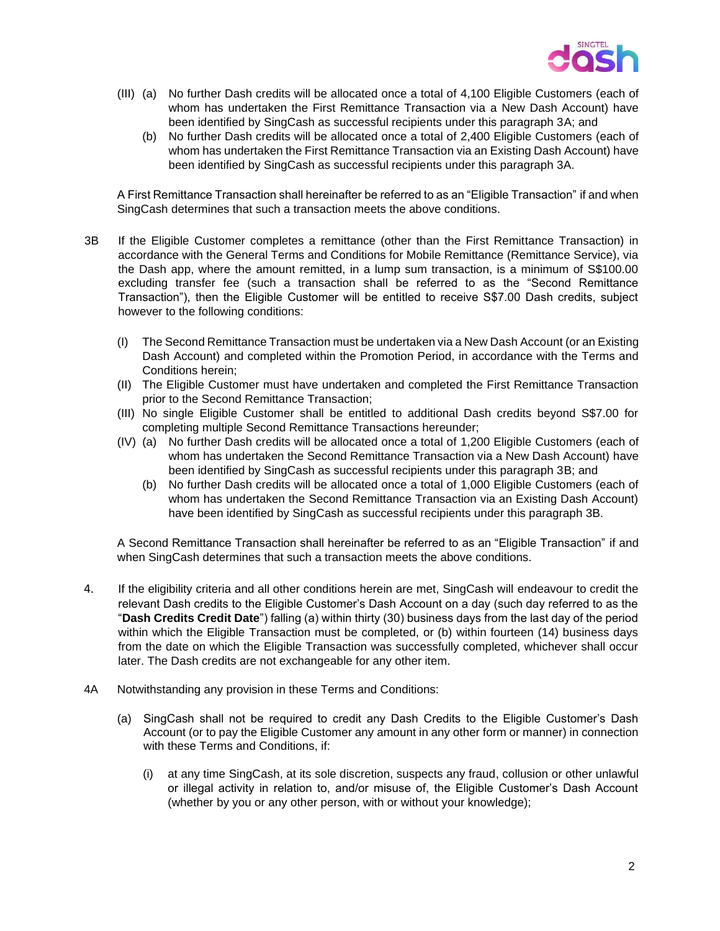

- (III) (a) No further Dash credits will be allocated once a total of 4,100 Eligible Customers (each of whom has undertaken the First Remittance Transaction via a New Dash Account) have been identified by SingCash as successful recipients under this paragraph 3A; and
	- (b) No further Dash credits will be allocated once a total of 2,400 Eligible Customers (each of whom has undertaken the First Remittance Transaction via an Existing Dash Account) have been identified by SingCash as successful recipients under this paragraph 3A.

A First Remittance Transaction shall hereinafter be referred to as an "Eligible Transaction" if and when SingCash determines that such a transaction meets the above conditions.

- 3B If the Eligible Customer completes a remittance (other than the First Remittance Transaction) in accordance with the General Terms and Conditions for Mobile Remittance (Remittance Service), via the Dash app, where the amount remitted, in a lump sum transaction, is a minimum of S\$100.00 excluding transfer fee (such a transaction shall be referred to as the "Second Remittance Transaction"), then the Eligible Customer will be entitled to receive S\$7.00 Dash credits, subject however to the following conditions:
	- (I) The Second Remittance Transaction must be undertaken via a New Dash Account (or an Existing Dash Account) and completed within the Promotion Period, in accordance with the Terms and Conditions herein;
	- (II) The Eligible Customer must have undertaken and completed the First Remittance Transaction prior to the Second Remittance Transaction;
	- (III) No single Eligible Customer shall be entitled to additional Dash credits beyond S\$7.00 for completing multiple Second Remittance Transactions hereunder;
	- (IV) (a) No further Dash credits will be allocated once a total of 1,200 Eligible Customers (each of whom has undertaken the Second Remittance Transaction via a New Dash Account) have been identified by SingCash as successful recipients under this paragraph 3B; and
		- (b) No further Dash credits will be allocated once a total of 1,000 Eligible Customers (each of whom has undertaken the Second Remittance Transaction via an Existing Dash Account) have been identified by SingCash as successful recipients under this paragraph 3B.

A Second Remittance Transaction shall hereinafter be referred to as an "Eligible Transaction" if and when SingCash determines that such a transaction meets the above conditions.

- 4. If the eligibility criteria and all other conditions herein are met, SingCash will endeavour to credit the relevant Dash credits to the Eligible Customer's Dash Account on a day (such day referred to as the "**Dash Credits Credit Date**") falling (a) within thirty (30) business days from the last day of the period within which the Eligible Transaction must be completed, or (b) within fourteen (14) business days from the date on which the Eligible Transaction was successfully completed, whichever shall occur later. The Dash credits are not exchangeable for any other item.
- 4A Notwithstanding any provision in these Terms and Conditions:
	- (a) SingCash shall not be required to credit any Dash Credits to the Eligible Customer's Dash Account (or to pay the Eligible Customer any amount in any other form or manner) in connection with these Terms and Conditions, if:
		- (i) at any time SingCash, at its sole discretion, suspects any fraud, collusion or other unlawful or illegal activity in relation to, and/or misuse of, the Eligible Customer's Dash Account (whether by you or any other person, with or without your knowledge);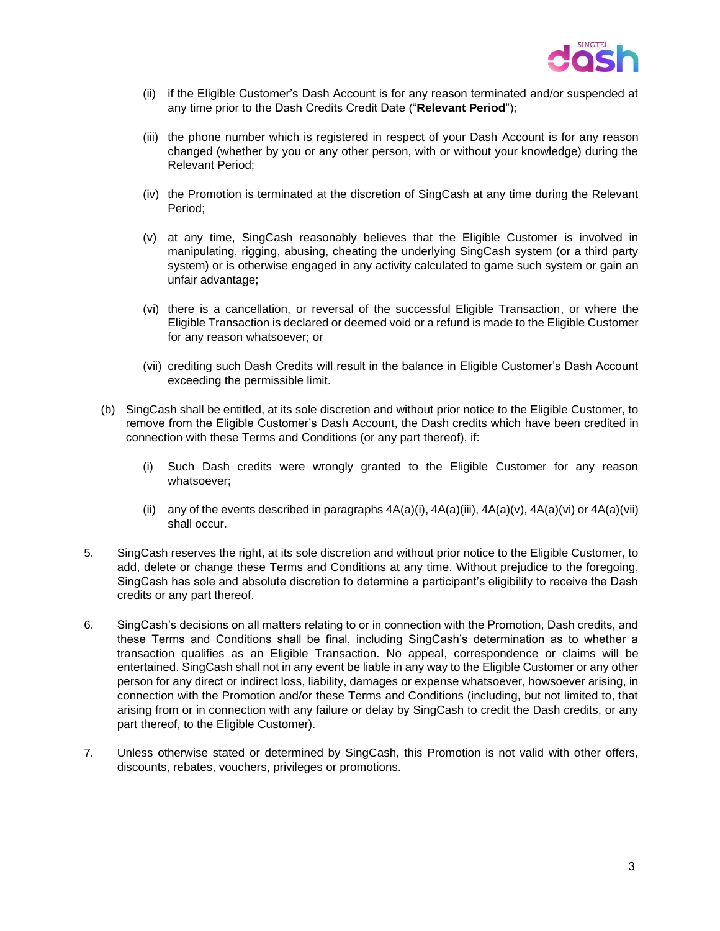

- (ii) if the Eligible Customer's Dash Account is for any reason terminated and/or suspended at any time prior to the Dash Credits Credit Date ("**Relevant Period**");
- (iii) the phone number which is registered in respect of your Dash Account is for any reason changed (whether by you or any other person, with or without your knowledge) during the Relevant Period;
- (iv) the Promotion is terminated at the discretion of SingCash at any time during the Relevant Period;
- (v) at any time, SingCash reasonably believes that the Eligible Customer is involved in manipulating, rigging, abusing, cheating the underlying SingCash system (or a third party system) or is otherwise engaged in any activity calculated to game such system or gain an unfair advantage;
- (vi) there is a cancellation, or reversal of the successful Eligible Transaction, or where the Eligible Transaction is declared or deemed void or a refund is made to the Eligible Customer for any reason whatsoever; or
- (vii) crediting such Dash Credits will result in the balance in Eligible Customer's Dash Account exceeding the permissible limit.
- (b) SingCash shall be entitled, at its sole discretion and without prior notice to the Eligible Customer, to remove from the Eligible Customer's Dash Account, the Dash credits which have been credited in connection with these Terms and Conditions (or any part thereof), if:
	- (i) Such Dash credits were wrongly granted to the Eligible Customer for any reason whatsoever;
	- (ii) any of the events described in paragraphs  $4A(a)(i)$ ,  $4A(a)(ii)$ ,  $4A(a)(v)$ ,  $4A(a)(vi)$  or  $4A(a)(vii)$ shall occur.
- 5. SingCash reserves the right, at its sole discretion and without prior notice to the Eligible Customer, to add, delete or change these Terms and Conditions at any time. Without prejudice to the foregoing, SingCash has sole and absolute discretion to determine a participant's eligibility to receive the Dash credits or any part thereof.
- 6. SingCash's decisions on all matters relating to or in connection with the Promotion, Dash credits, and these Terms and Conditions shall be final, including SingCash's determination as to whether a transaction qualifies as an Eligible Transaction. No appeal, correspondence or claims will be entertained. SingCash shall not in any event be liable in any way to the Eligible Customer or any other person for any direct or indirect loss, liability, damages or expense whatsoever, howsoever arising, in connection with the Promotion and/or these Terms and Conditions (including, but not limited to, that arising from or in connection with any failure or delay by SingCash to credit the Dash credits, or any part thereof, to the Eligible Customer).
- 7. Unless otherwise stated or determined by SingCash, this Promotion is not valid with other offers, discounts, rebates, vouchers, privileges or promotions.